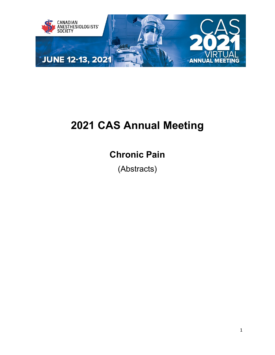

# **2021 CAS Annual Meeting**

## **Chronic Pain**

(Abstracts)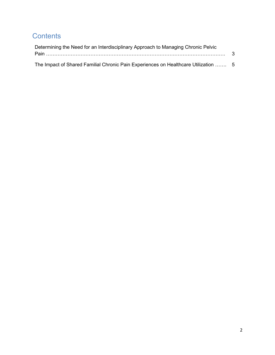### **Contents**

| Determining the Need for an Interdisciplinary Approach to Managing Chronic Pelvic   |  |  |  |  |  |  |
|-------------------------------------------------------------------------------------|--|--|--|--|--|--|
|                                                                                     |  |  |  |  |  |  |
| The Impact of Shared Familial Chronic Pain Experiences on Healthcare Utilization  5 |  |  |  |  |  |  |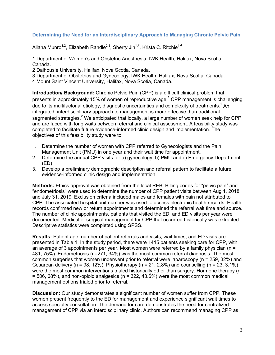#### <span id="page-2-0"></span>**Determining the Need for an Interdisciplinary Approach to Managing Chronic Pelvic Pain**

Allana Munro<sup>1,2</sup>, Elizabeth Randle<sup>2,3</sup>, Sherry Jin<sup>1,2</sup>, Krista C. Ritchie<sup>1,4</sup>

1 Department of Women's and Obstetric Anesthesia, IWK Health, Halifax, Nova Scotia, Canada.

2 Dalhousie University, Halifax, Nova Scotia, Canada.

3 Department of Obstetrics and Gynecology, IWK Health, Halifax, Nova Scotia, Canada.

4 Mount Saint Vincent University, Halifax, Nova Scotia, Canada.

**Introduction/ Background:** Chronic Pelvic Pain (CPP) is a difficult clinical problem that presents in approximately 15% of women of reproductive age.<sup>1</sup> CPP management is challenging due to its multifactorial etiology, diagnostic uncertainties and complexity of treatments.<sup>1</sup> An integrated, interdisciplinary approach to management is more effective than traditional segmented strategies.<sup>2</sup> We anticipated that locally, a large number of women seek help for CPP and are faced with long waits between referral and clinical assessment. A feasibility study was completed to facilitate future evidence-informed clinic design and implementation. The objectives of this feasibility study were to:

- 1. Determine the number of women with CPP referred to Gynecologists and the Pain Management Unit (PMU) in one year and their wait time for appointment.
- 2. Determine the annual CPP visits for a) gynecology, b) PMU and c) Emergency Department (ED)
- 3. Develop a preliminary demographic description and referral pattern to facilitate a future evidence-informed clinic design and implementation.

**Methods:** Ethics approval was obtained from the local REB. Billing codes for "pelvic pain" and "endometriosis" were used to determine the number of CPP patient visits between Aug 1, 2018 and July 31, 2019. Exclusion criteria included males and females with pain not attributed to CPP. The associated hospital unit number was used to access electronic health records. Health records confirmed new or return appointments and determined the referral wait time and source. The number of clinic appointments, patients that visited the ED, and ED visits per year were documented. Medical or surgical management for CPP that occurred historically was extracted. Descriptive statistics were completed using SPSS.

**Results:** Patient age, number of patient referrals and visits, wait times, and ED visits are presented in Table 1. In the study period, there were 1415 patients seeking care for CPP, with an average of 3 appointments per year. Most women were referred by a family physician ( $n =$ 481, 75%). Endometriosis (n=271, 34%) was the most common referral diagnosis. The most common surgeries that women underwent prior to referral were laparoscopy (n = 259, 32%) and Cesarean delivery (n = 98, 12%). Physiotherapy (n = 21, 2.8%) and counselling (n = 23, 3.1%) were the most common interventions trialed historically other than surgery. Hormone therapy (n  $= 506, 68\%$ ), and non-opioid analgesics (n = 322, 43.6%) were the most common medical management options trialed prior to referral.

**Discussion:** Our study demonstrates a significant number of women suffer from CPP. These women present frequently to the ED for management and experience significant wait times to access specialty consultation. The demand for care demonstrates the need for centralized management of CPP via an interdisciplinary clinic. Authors can recommend managing CPP as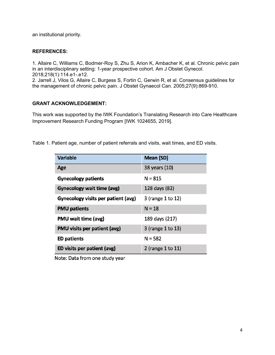an institutional priority.

#### **REFERENCES:**

1. Allaire C, Williams C, Bodmer-Roy S, Zhu S, Arion K, Ambacher K, et al. Chronic pelvic pain in an interdisciplinary setting: 1-year prospective cohort. Am J Obstet Gynecol. 2018;218(1):114.e1-.e12.

2. Jarrell J, Vilos G, Allaire C, Burgess S, Fortin C, Gerwin R, et al. Consensus guidelines for the management of chronic pelvic pain. J Obstet Gynaecol Can. 2005;27(9):869-910.

#### **GRANT ACKNOWLEDGEMENT:**

This work was supported by the IWK Foundation's Translating Research into Care Healthcare Improvement Research Funding Program [IWK 1024655, 2019].

Table 1. Patient age, number of patient referrals and visits, wait times, and ED visits.

| <b>Variable</b>                     | Mean (SD)         |  |  |
|-------------------------------------|-------------------|--|--|
| Age                                 | 38 years (10)     |  |  |
| <b>Gynecology patients</b>          | $N = 815$         |  |  |
| <b>Gynecology wait time (avg)</b>   | 128 days (82)     |  |  |
| Gynecology visits per patient (avg) | 3 (range 1 to 12) |  |  |
| <b>PMU patients</b>                 | $N = 18$          |  |  |
| <b>PMU wait time (avg)</b>          | 189 days (217)    |  |  |
| PMU visits per patient (avg)        | 3 (range 1 to 13) |  |  |
| <b>ED patients</b>                  | $N = 582$         |  |  |
| ED visits per patient (avg)         | 2 (range 1 to 11) |  |  |

Note: Data from one study year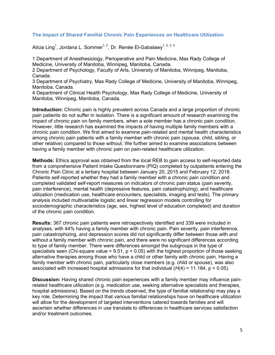#### <span id="page-4-0"></span>**The Impact of Shared Familial Chronic Pain Experiences on Healthcare Utilization**

Alicia Ling<sup>1</sup>, Jordana L. Sommer<sup>1, 2</sup>, Dr. Renée El-Gabalawy<sup>1, 2, 3, 4</sup>

1 Department of Anesthesiology, Perioperative and Pain Medicine, Max Rady College of Medicine, University of Manitoba, Winnipeg, Manitoba, Canada.

2 Department of Psychology, Faculty of Arts, University of Manitoba, Winnipeg, Manitoba, Canada.

3 Department of Psychiatry, Max Rady College of Medicine, University of Manitoba, Winnipeg, Manitoba, Canada.

4 Department of Clinical Health Psychology, Max Rady College of Medicine, University of Manitoba, Winnipeg, Manitoba, Canada.

**Introduction:** Chronic pain is highly prevalent across Canada and a large proportion of chronic pain patients do not suffer in isolation. There is a significant amount of research examining the impact of chronic pain on family members, when a sole member has a chronic pain condition. However, little research has examined the impacts of having multiple family members with a chronic pain condition. We first aimed to examine pain-related and mental health characteristics among chronic pain patients with a family member with chronic pain (spouse, child, sibling, or other relative) compared to those without. We further aimed to examine associations between having a family member with chronic pain on pain-related healthcare utilization.

**Methods:** Ethics approval was obtained from the local REB to gain access to self-reported data from a comprehensive Patient Intake Questionnaire (PIQ) completed by outpatients entering the Chronic Pain Clinic at a tertiary hospital between January 20, 2015 and February 12, 2018. Patients self-reported whether they had a family member with a chronic pain condition and completed validated self-report measures on indicators of chronic pain status (pain severity, pain interference), mental health (depressive features, pain catastrophizing), and healthcare utilization (medication use, healthcare encounters, specialists, imaging and tests). The primary analysis included multivariable logistic and linear regression models controlling for sociodemographic characteristics (age, sex, highest level of education completed) and duration of the chronic pain condition.

**Results:** 367 chronic pain patients were retrospectively identified and 339 were included in analyses, with 44% having a family member with chronic pain. Pain severity, pain interference, pain catastrophizing, and depression scores did not significantly differ between those with and without a family member with chronic pain, and there were no significant differences according to type of family member. There were differences amongst the subgroups in the type of specialists seen (Chi-square value =  $9.51$ ,  $p < 0.05$ ) with the highest proportion of those seeking alternative therapies among those who have a child or other family with chronic pain. Having a family member with chronic pain, particularly close members (e.g. child or spouse), was also associated with increased hospital admissions for that individual (*H*(4) = 11.184, p < 0.05).

**Discussion:** Having shared chronic pain experiences with a family member may influence painrelated healthcare utilization (e.g. medication use, seeking alternative specialists and therapies, hospital admissions). Based on the trends observed, the type of familial relationship may play a key role. Determining the impact that various familial relationships have on healthcare utilization will allow for the development of targeted interventions catered towards families and will ascertain whether differences in use translate to differences in healthcare services satisfaction and/or treatment outcomes.